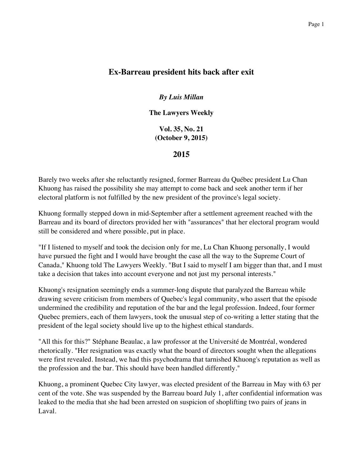## **Ex-Barreau president hits back after exit**

*By Luis Millan*

**The Lawyers Weekly**

**Vol. 35, No. 21 (October 9, 2015)**

**2015**

Barely two weeks after she reluctantly resigned, former Barreau du Québec president Lu Chan Khuong has raised the possibility she may attempt to come back and seek another term if her electoral platform is not fulfilled by the new president of the province's legal society.

Khuong formally stepped down in mid-September after a settlement agreement reached with the Barreau and its board of directors provided her with "assurances" that her electoral program would still be considered and where possible, put in place.

"If I listened to myself and took the decision only for me, Lu Chan Khuong personally, I would have pursued the fight and I would have brought the case all the way to the Supreme Court of Canada," Khuong told The Lawyers Weekly. "But I said to myself I am bigger than that, and I must take a decision that takes into account everyone and not just my personal interests."

Khuong's resignation seemingly ends a summer-long dispute that paralyzed the Barreau while drawing severe criticism from members of Quebec's legal community, who assert that the episode undermined the credibility and reputation of the bar and the legal profession. Indeed, four former Quebec premiers, each of them lawyers, took the unusual step of co-writing a letter stating that the president of the legal society should live up to the highest ethical standards.

"All this for this?" Stéphane Beaulac, a law professor at the Université de Montréal, wondered rhetorically. "Her resignation was exactly what the board of directors sought when the allegations were first revealed. Instead, we had this psychodrama that tarnished Khuong's reputation as well as the profession and the bar. This should have been handled differently."

Khuong, a prominent Quebec City lawyer, was elected president of the Barreau in May with 63 per cent of the vote. She was suspended by the Barreau board July 1, after confidential information was leaked to the media that she had been arrested on suspicion of shoplifting two pairs of jeans in Laval.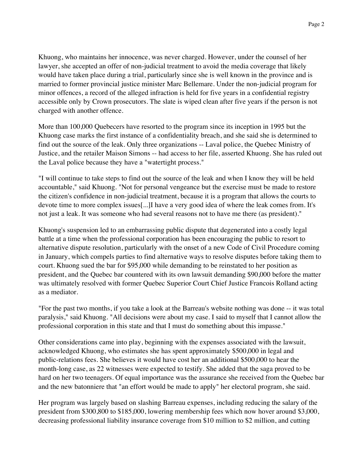Khuong, who maintains her innocence, was never charged. However, under the counsel of her lawyer, she accepted an offer of non-judicial treatment to avoid the media coverage that likely would have taken place during a trial, particularly since she is well known in the province and is married to former provincial justice minister Marc Bellemare. Under the non-judicial program for minor offences, a record of the alleged infraction is held for five years in a confidential registry accessible only by Crown prosecutors. The slate is wiped clean after five years if the person is not charged with another offence.

More than 100,000 Quebecers have resorted to the program since its inception in 1995 but the Khuong case marks the first instance of a confidentiality breach, and she said she is determined to find out the source of the leak. Only three organizations -- Laval police, the Quebec Ministry of Justice, and the retailer Maison Simons -- had access to her file, asserted Khuong. She has ruled out the Laval police because they have a "watertight process."

"I will continue to take steps to find out the source of the leak and when I know they will be held accountable," said Khuong. "Not for personal vengeance but the exercise must be made to restore the citizen's confidence in non-judicial treatment, because it is a program that allows the courts to devote time to more complex issues[...]I have a very good idea of where the leak comes from. It's not just a leak. It was someone who had several reasons not to have me there (as president)."

Khuong's suspension led to an embarrassing public dispute that degenerated into a costly legal battle at a time when the professional corporation has been encouraging the public to resort to alternative dispute resolution, particularly with the onset of a new Code of Civil Procedure coming in January, which compels parties to find alternative ways to resolve disputes before taking them to court. Khuong sued the bar for \$95,000 while demanding to be reinstated to her position as president, and the Quebec bar countered with its own lawsuit demanding \$90,000 before the matter was ultimately resolved with former Quebec Superior Court Chief Justice Francois Rolland acting as a mediator.

"For the past two months, if you take a look at the Barreau's website nothing was done -- it was total paralysis," said Khuong. "All decisions were about my case. I said to myself that I cannot allow the professional corporation in this state and that I must do something about this impasse."

Other considerations came into play, beginning with the expenses associated with the lawsuit, acknowledged Khuong, who estimates she has spent approximately \$500,000 in legal and public-relations fees. She believes it would have cost her an additional \$500,000 to hear the month-long case, as 22 witnesses were expected to testify. She added that the saga proved to be hard on her two teenagers. Of equal importance was the assurance she received from the Quebec bar and the new batonniere that "an effort would be made to apply" her electoral program, she said.

Her program was largely based on slashing Barreau expenses, including reducing the salary of the president from \$300,800 to \$185,000, lowering membership fees which now hover around \$3,000, decreasing professional liability insurance coverage from \$10 million to \$2 million, and cutting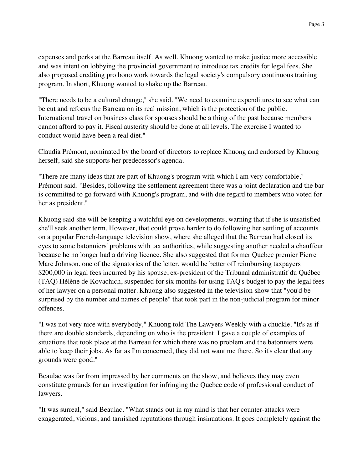expenses and perks at the Barreau itself. As well, Khuong wanted to make justice more accessible and was intent on lobbying the provincial government to introduce tax credits for legal fees. She also proposed crediting pro bono work towards the legal society's compulsory continuous training program. In short, Khuong wanted to shake up the Barreau.

"There needs to be a cultural change," she said. "We need to examine expenditures to see what can be cut and refocus the Barreau on its real mission, which is the protection of the public. International travel on business class for spouses should be a thing of the past because members cannot afford to pay it. Fiscal austerity should be done at all levels. The exercise I wanted to conduct would have been a real diet."

Claudia Prémont, nominated by the board of directors to replace Khuong and endorsed by Khuong herself, said she supports her predecessor's agenda.

"There are many ideas that are part of Khuong's program with which I am very comfortable," Prémont said. "Besides, following the settlement agreement there was a joint declaration and the bar is committed to go forward with Khuong's program, and with due regard to members who voted for her as president."

Khuong said she will be keeping a watchful eye on developments, warning that if she is unsatisfied she'll seek another term. However, that could prove harder to do following her settling of accounts on a popular French-language television show, where she alleged that the Barreau had closed its eyes to some batonniers' problems with tax authorities, while suggesting another needed a chauffeur because he no longer had a driving licence. She also suggested that former Quebec premier Pierre Marc Johnson, one of the signatories of the letter, would be better off reimbursing taxpayers \$200,000 in legal fees incurred by his spouse, ex-president of the Tribunal administratif du Québec (TAQ) Hélène de Kovachich, suspended for six months for using TAQ's budget to pay the legal fees of her lawyer on a personal matter. Khuong also suggested in the television show that "you'd be surprised by the number and names of people" that took part in the non-judicial program for minor offences.

"I was not very nice with everybody," Khuong told The Lawyers Weekly with a chuckle. "It's as if there are double standards, depending on who is the president. I gave a couple of examples of situations that took place at the Barreau for which there was no problem and the batonniers were able to keep their jobs. As far as I'm concerned, they did not want me there. So it's clear that any grounds were good."

Beaulac was far from impressed by her comments on the show, and believes they may even constitute grounds for an investigation for infringing the Quebec code of professional conduct of lawyers.

"It was surreal," said Beaulac. "What stands out in my mind is that her counter-attacks were exaggerated, vicious, and tarnished reputations through insinuations. It goes completely against the